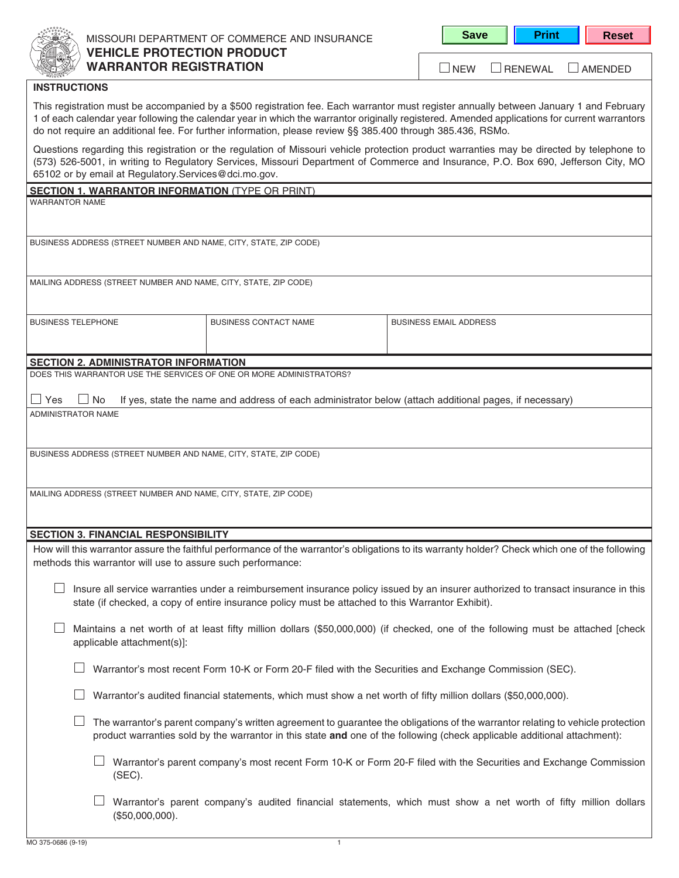

# MISSOURI DEPARTMENT OF COMMERCE AND INSURANCE **VEHICLE PROTECTION PRODUCT WARRANTOR REGISTRATION**

**Save | Print | Reset** 

NEW RENEWAL AMENDED

#### **INSTRUCTIONS**

This registration must be accompanied by a \$500 registration fee. Each warrantor must register annually between January 1 and February 1 of each calendar year following the calendar year in which the warrantor originally registered. Amended applications for current warrantors do not require an additional fee. For further information, please review §§ 385.400 through 385.436, RSMo.

Questions regarding this registration or the regulation of Missouri vehicle protection product warranties may be directed by telephone to (573) 526-5001, in writing to Regulatory Services, Missouri Department of Commerce and Insurance, P.O. Box 690, Jefferson City, MO 65102 or by email at Regulatory.Services@dci.mo.gov.

|  | <b>SECTION 1. WARRANTOR INFORMATION (TYPE OR PRINT)</b> |  |
|--|---------------------------------------------------------|--|
|  |                                                         |  |

WARRANTOR NAME

BUSINESS ADDRESS (STREET NUMBER AND NAME, CITY, STATE, ZIP CODE)

| MAILING ADDRESS (STREET NUMBER AND NAME, CITY, STATE, ZIP CODE) |  |
|-----------------------------------------------------------------|--|
|-----------------------------------------------------------------|--|

| <b>BUSINESS TELEPHONE</b> | BUSINESS CONTACT NAME | BUSINESS EMAIL ADDRESS |
|---------------------------|-----------------------|------------------------|
|                           |                       |                        |
|                           |                       |                        |

## **SECTION 2. ADMINISTRATOR INFORMATION**

DOES THIS WARRANTOR USE THE SERVICES OF ONE OR MORE ADMINISTRATORS?

|                    | $\Box$ Yes $\Box$ No If yes, state the name and address of each administrator below (attach additional pages, if necessary) |
|--------------------|-----------------------------------------------------------------------------------------------------------------------------|
| ADMINISTRATOR NAME |                                                                                                                             |

BUSINESS ADDRESS (STREET NUMBER AND NAME, CITY, STATE, ZIP CODE)

MAILING ADDRESS (STREET NUMBER AND NAME, CITY, STATE, ZIP CODE)

#### **SECTION 3. FINANCIAL RESPONSIBILITY**

How will this warrantor assure the faithful performance of the warrantor's obligations to its warranty holder? Check which one of the following methods this warrantor will use to assure such performance:

| $\Box$ Insure all service warranties under a reimbursement insurance policy issued by an insurer authorized to transact insurance in this |
|-------------------------------------------------------------------------------------------------------------------------------------------|
| state (if checked, a copy of entire insurance policy must be attached to this Warrantor Exhibit).                                         |

 $\Box$  Maintains a net worth of at least fifty million dollars (\$50,000,000) (if checked, one of the following must be attached [check applicable attachment(s)]:

 $\Box$  Warrantor's most recent Form 10-K or Form 20-F filed with the Securities and Exchange Commission (SEC).

Warrantor's audited financial statements, which must show a net worth of fifty million dollars (\$50,000,000).

| $\Box$ The warrantor's parent company's written agreement to guarantee the obligations of the warrantor relating to vehicle protection |
|----------------------------------------------------------------------------------------------------------------------------------------|
| product warranties sold by the warrantor in this state and one of the following (check applicable additional attachment):              |

- $\Box$  Warrantor's parent company's most recent Form 10-K or Form 20-F filed with the Securities and Exchange Commission (SEC).
- Warrantor's parent company's audited financial statements, which must show a net worth of fifty million dollars (\$50,000,000).